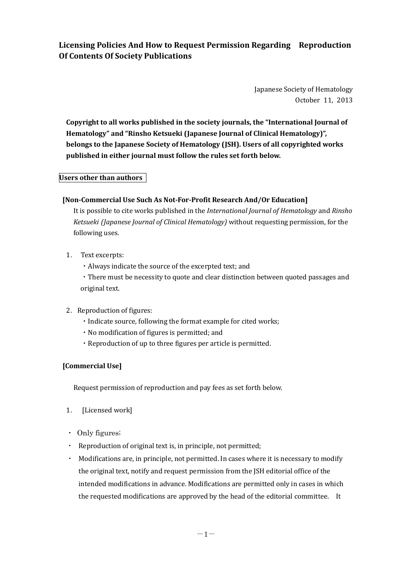**Licensing Policies And How to Request Permission Regarding Reproduction Of Contents Of Society Publications**

> Japanese Society of Hematology October 11, 2013

**Copyright to all works published in the society journals, the "International Journal of Hematology" and "Rinsho Ketsueki (Japanese Journal of Clinical Hematology)", belongs to the Japanese Society of Hematology (JSH). Users of all copyrighted works published in either journal must follow the rules set forth below.** 

# **Users other than authors**

# **[Non-Commercial Use Such As Not-For-Profit Research And/Or Education]**

It is possible to cite works published in the *International Journal of Hematology* and *Rinsho Ketsueki (Japanese Journal of Clinical Hematology)* without requesting permission, for the following uses.

- 1. Text excerpts:
	- ・Always indicate the source of the excerpted text; and

・There must be necessity to quote and clear distinction between quoted passages and original text.

- 2. Reproduction of figures:
	- ・Indicate source, following the format example for cited works;
	- ・No modification of figures is permitted; and
	- ・Reproduction of up to three figures per article is permitted.

### **[Commercial Use]**

Request permission of reproduction and pay fees as set forth below.

- 1. [Licensed work]
- ・ Only figures;
- ・ Reproduction of original text is, in principle, not permitted;
- ・ Modifications are, in principle, not permitted. In cases where it is necessary to modify the original text, notify and request permission from the JSH editorial office of the intended modifications in advance. Modifications are permitted only in cases in which the requested modifications are approved by the head of the editorial committee. It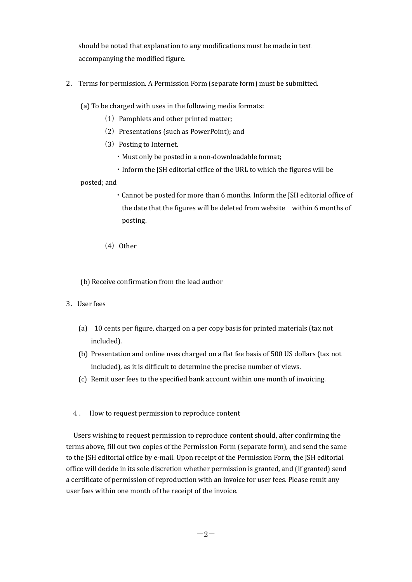should be noted that explanation to any modifications must be made in text accompanying the modified figure.

2.Terms for permission. A Permission Form (separate form) must be submitted.

(a) To be charged with uses in the following media formats:

- $(1)$  Pamphlets and other printed matter;
- (2) Presentations (such as PowerPoint); and
- (3) Posting to Internet.
	- ・Must only be posted in a non-downloadable format;
	- ・Inform the JSH editorial office of the URL to which the figures will be

posted; and

- ・Cannot be posted for more than 6 months. Inform the JSH editorial office of the date that the figures will be deleted from website within 6 months of posting.
- $(4)$  Other

(b) Receive confirmation from the lead author

- 3.User fees
	- (a) 10 cents per figure, charged on a per copy basis for printed materials (tax not included).
	- (b) Presentation and online uses charged on a flat fee basis of 500 US dollars (tax not included), as it is difficult to determine the precise number of views.
	- (c) Remit user fees to the specified bank account within one month of invoicing.
	- 4. How to request permission to reproduce content

Users wishing to request permission to reproduce content should, after confirming the terms above, fill out two copies of the Permission Form (separate form), and send the same to the JSH editorial office by e-mail. Upon receipt of the Permission Form, the JSH editorial office will decide in its sole discretion whether permission is granted, and (if granted) send a certificate of permission of reproduction with an invoice for user fees. Please remit any user fees within one month of the receipt of the invoice.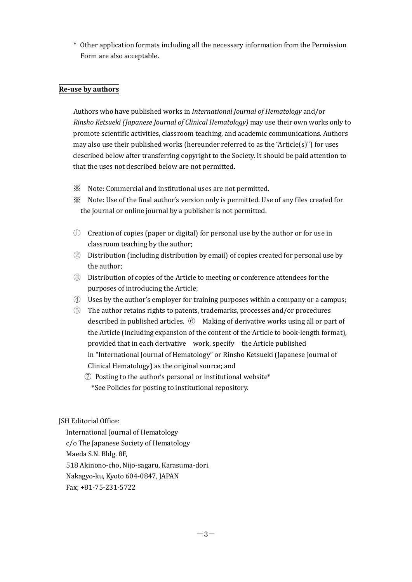\* Other application formats including all the necessary information from the Permission Form are also acceptable.

## **Re-use by authors**

Authors who have published works in *International Journal of Hematology* and/or *Rinsho Ketsueki (Japanese Journal of Clinical Hematology)* may use their own works only to promote scientific activities, classroom teaching, and academic communications. Authors may also use their published works (hereunder referred to as the "Article(s)") for uses described below after transferring copyright to the Society. It should be paid attention to that the uses not described below are not permitted.

- ※ Note: Commercial and institutional uses are not permitted.
- ※ Note: Use of the final author's version only is permitted. Use of any files created for the journal or online journal by a publisher is not permitted.
- ① Creation of copies (paper or digital) for personal use by the author or for use in classroom teaching by the author;
- ② Distribution (including distribution by email) of copies created for personal use by the author;
- ③ Distribution of copies of the Article to meeting or conference attendees for the purposes of introducing the Article;
- ④ Uses by the author's employer for training purposes within a company or a campus;
- ⑤ The author retains rights to patents, trademarks, processes and/or procedures described in published articles. ⑥ Making of derivative works using all or part of the Article (including expansion of the content of the Article to book-length format), provided that in each derivative work, specify the Article published in "International Journal of Hematology" or Rinsho Ketsueki (Japanese Journal of Clinical Hematology) as the original source; and
	- $\mathcal{O}$  Posting to the author's personal or institutional website\* \*See Policies for posting to institutional repository.

JSH Editorial Office:

International Journal of Hematology c/o The Japanese Society of Hematology Maeda S.N. Bldg. 8F, 518 Akinono-cho, Nijo-sagaru, Karasuma-dori. Nakagyo-ku, Kyoto 604-0847, JAPAN Fax; +81-75-231-5722